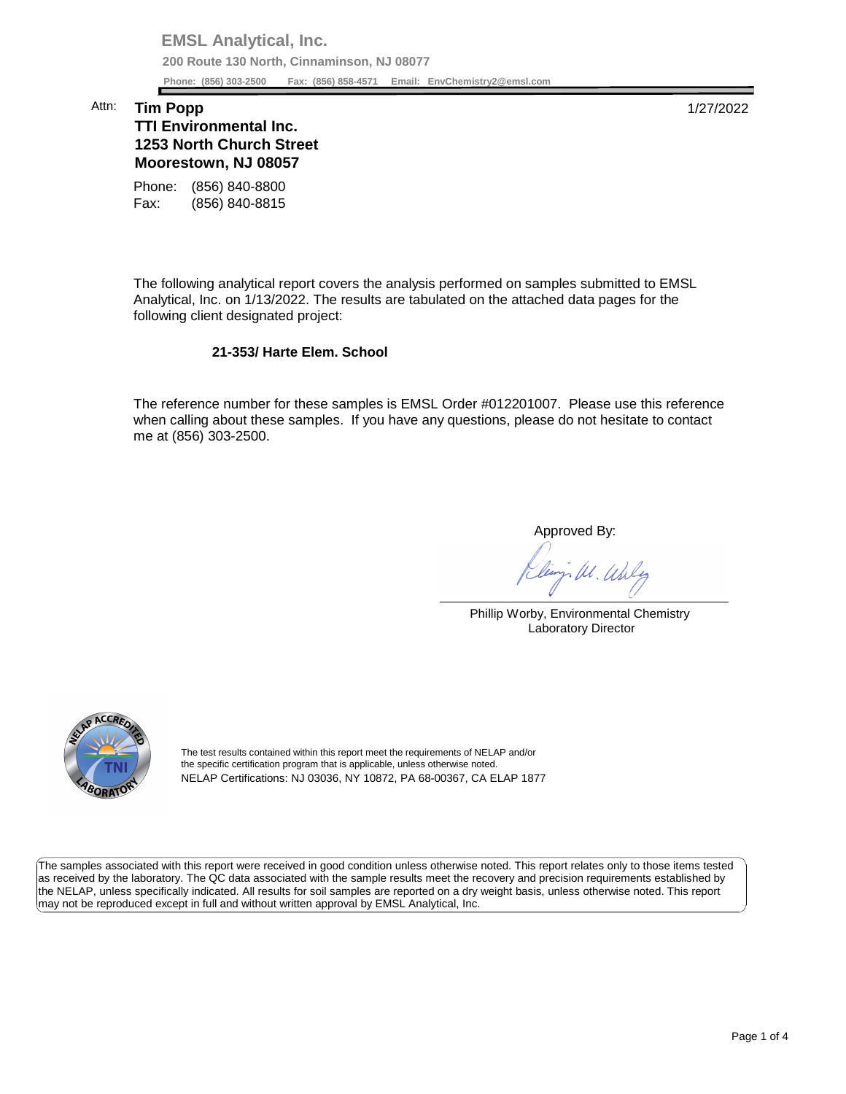**EMSL Analytical, Inc. 200 Route 130 North, Cinnaminson, NJ 08077 Phone: (856) 303-2500 Fax: (856) 858-4571 Email: [EnvChemistry2@emsl.com](mailto:EnvChemistry2@emsl.com)**  Phone: (856) 303-2500

## Attn: **Tim Popp** 1/27/2022

## **Moorestown, NJ 08057 TTI Environmental Inc. 1253 North Church Street**

Phone: (856) 840-8800 Fax: (856) 840-8815

 The following analytical report covers the analysis performed on samples submitted to EMSL Analytical, Inc. on 1/13/2022. The results are tabulated on the attached data pages for the following client designated project:

## **21-353/ Harte Elem. School**

 The reference number for these samples is EMSL Order #012201007. Please use this reference when calling about these samples. If you have any questions, please do not hesitate to contact me at (856) 303-2500.

Approved By:

W. Whly

Phillip Worby, Environmental Chemistry Laboratory Director



The test results contained within this report meet the requirements of NELAP and/or the specific certification program that is applicable, unless otherwise noted. NELAP Certifications: NJ 03036, NY 10872, PA 68-00367, CA ELAP 1877

 The samples associated with this report were received in good condition unless otherwise noted. This report relates only to those items tested as received by the laboratory. The QC data associated with the sample results meet the recovery and precision requirements established by the NELAP, unless specifically indicated. All results for soil samples are reported on a dry weight basis, unless otherwise noted. This report may not be reproduced except in full and without written approval by EMSL Analytical, Inc.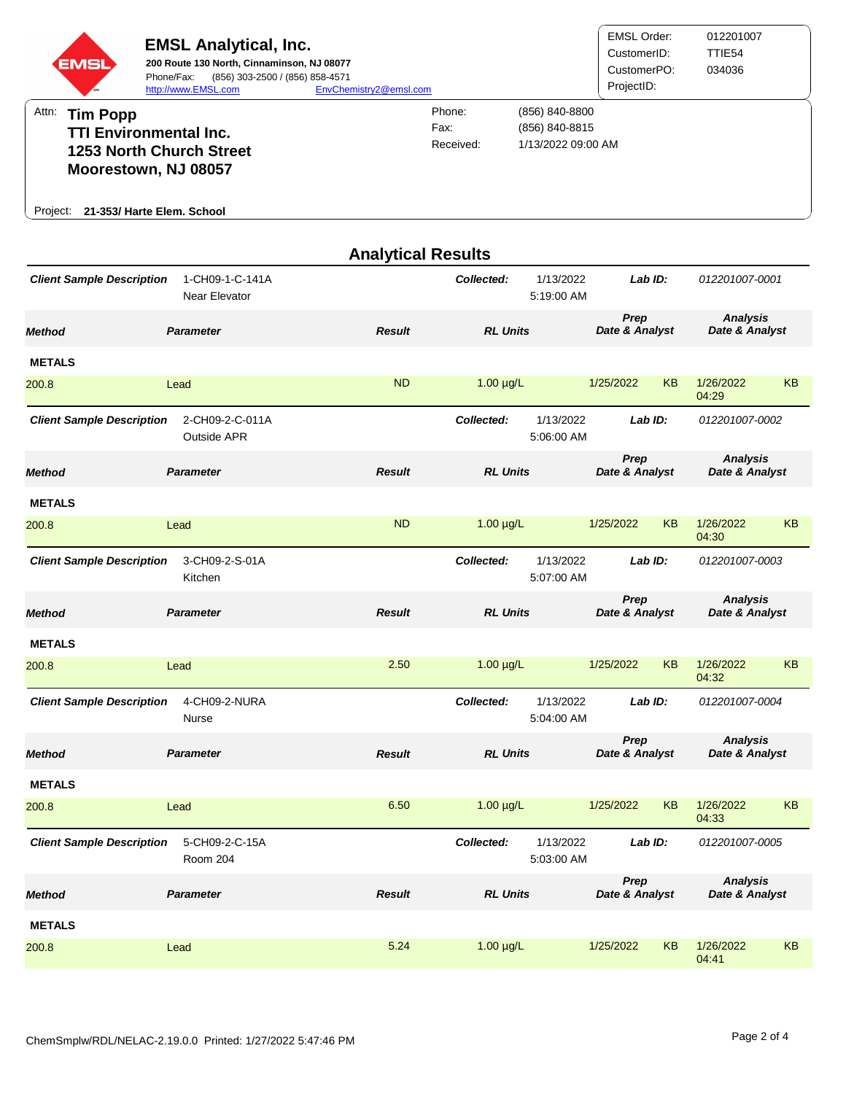

|                                                                |                                       | <b>Analytical Results</b> |                                       |                         |                        |           |                                   |           |
|----------------------------------------------------------------|---------------------------------------|---------------------------|---------------------------------------|-------------------------|------------------------|-----------|-----------------------------------|-----------|
| <b>Client Sample Description</b>                               | 1-CH09-1-C-141A<br>Near Elevator      |                           | Collected:<br>1/13/2022<br>5:19:00 AM |                         | Lab ID:                |           | 012201007-0001                    |           |
| <b>Method</b>                                                  | <b>Parameter</b>                      | <b>Result</b>             | <b>RL Units</b>                       |                         | Prep<br>Date & Analyst |           | <b>Analysis</b><br>Date & Analyst |           |
| <b>METALS</b>                                                  |                                       |                           |                                       |                         |                        |           |                                   |           |
| 200.8                                                          | Lead                                  | <b>ND</b>                 | $1.00 \mu g/L$                        |                         | 1/25/2022              | <b>KB</b> | 1/26/2022<br>04:29                | <b>KB</b> |
| <b>Client Sample Description</b>                               | 2-CH09-2-C-011A<br><b>Outside APR</b> |                           | Collected:                            | 1/13/2022<br>5:06:00 AM | Lab ID:                |           | 012201007-0002                    |           |
| <b>Method</b>                                                  | <b>Parameter</b>                      | <b>Result</b>             | <b>RL Units</b>                       |                         | Prep<br>Date & Analyst |           | <b>Analysis</b><br>Date & Analyst |           |
| <b>METALS</b>                                                  |                                       |                           |                                       |                         |                        |           |                                   |           |
| 200.8                                                          | Lead                                  | <b>ND</b>                 | 1.00 µg/L                             |                         | 1/25/2022              | <b>KB</b> | 1/26/2022<br>04:30                | <b>KB</b> |
| <b>Client Sample Description</b>                               | 3-CH09-2-S-01A<br>Kitchen             |                           | 1/13/2022<br>Collected:<br>5:07:00 AM |                         | Lab ID:                |           | 012201007-0003                    |           |
| Method                                                         | <b>Parameter</b>                      | <b>Result</b>             | <b>RL Units</b>                       |                         | Prep<br>Date & Analyst |           | <b>Analysis</b><br>Date & Analyst |           |
| <b>METALS</b>                                                  |                                       |                           |                                       |                         |                        |           |                                   |           |
| 200.8                                                          | Lead                                  | 2.50                      | $1.00 \mu g/L$                        |                         | 1/25/2022              | <b>KB</b> | 1/26/2022<br>04:32                | <b>KB</b> |
| <b>Client Sample Description</b>                               | 4-CH09-2-NURA<br>Nurse                |                           | Collected:                            | 1/13/2022<br>5:04:00 AM | Lab ID:                |           | 012201007-0004                    |           |
| Method                                                         | <b>Parameter</b>                      | <b>Result</b>             | <b>RL Units</b>                       |                         | Prep<br>Date & Analyst |           | <b>Analysis</b><br>Date & Analyst |           |
| <b>METALS</b>                                                  |                                       |                           |                                       |                         |                        |           |                                   |           |
| 200.8                                                          | Lead                                  | 6.50                      | $1.00 \mu g/L$                        |                         | 1/25/2022              | <b>KB</b> | 1/26/2022<br>04:33                | <b>KB</b> |
| <b>Client Sample Description</b><br>5-CH09-2-C-15A<br>Room 204 |                                       |                           | Collected:<br>1/13/2022<br>5:03:00 AM |                         | Lab ID:                |           | 012201007-0005                    |           |
| <b>Method</b>                                                  | <b>Parameter</b>                      | <b>Result</b>             | <b>RL Units</b>                       |                         | Prep<br>Date & Analyst |           | <b>Analysis</b><br>Date & Analyst |           |
| <b>METALS</b>                                                  |                                       |                           |                                       |                         |                        |           |                                   |           |
| 200.8                                                          | Lead                                  | 5.24                      | $1.00 \mu g/L$                        |                         | 1/25/2022              | KB        | 1/26/2022<br>04:41                | KB        |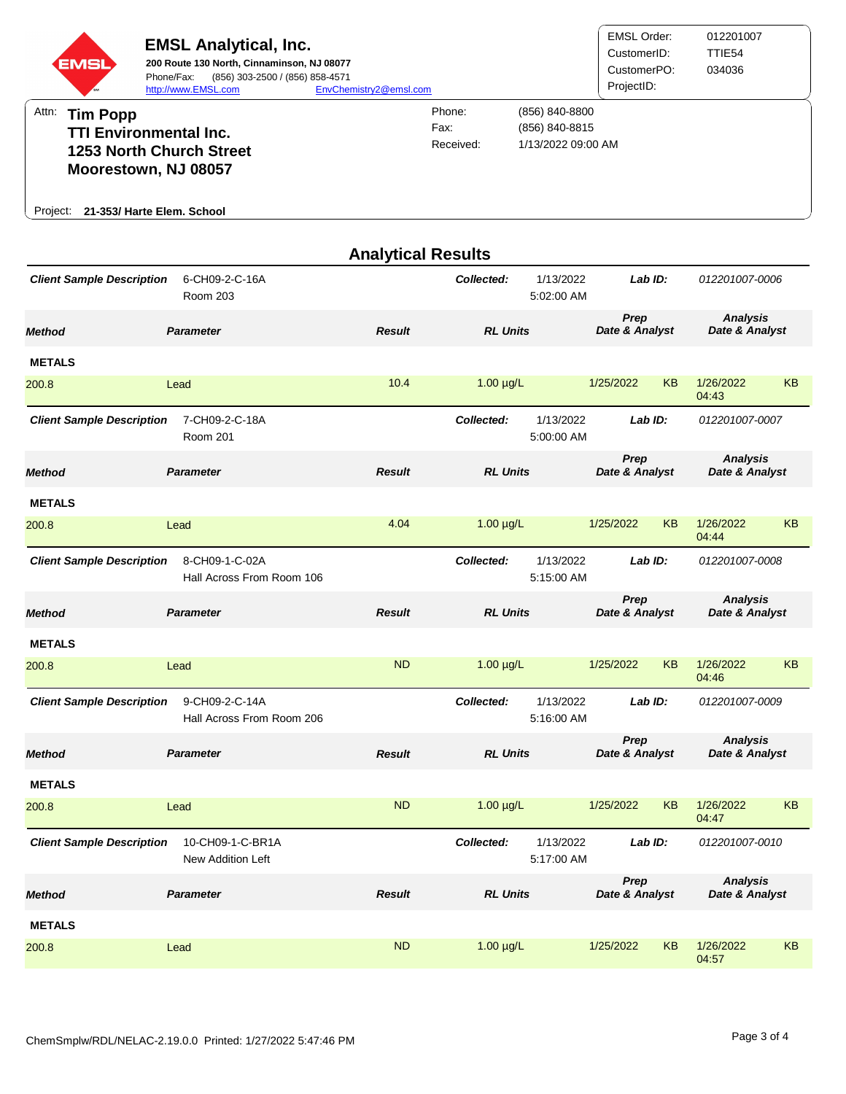

| <b>Analytical Results</b>        |                                             |               |                 |                         |                        |                           |                                   |                                   |  |
|----------------------------------|---------------------------------------------|---------------|-----------------|-------------------------|------------------------|---------------------------|-----------------------------------|-----------------------------------|--|
| <b>Client Sample Description</b> | 6-CH09-2-C-16A<br><b>Room 203</b>           |               | Collected:      | 1/13/2022<br>5:02:00 AM | Lab ID:                | 012201007-0006            |                                   |                                   |  |
| <b>Method</b>                    | <b>Parameter</b>                            | <b>Result</b> | <b>RL Units</b> |                         | Prep<br>Date & Analyst |                           | <b>Analysis</b><br>Date & Analyst |                                   |  |
| <b>METALS</b>                    |                                             |               |                 |                         |                        |                           |                                   |                                   |  |
| 200.8                            | Lead                                        | 10.4          | $1.00 \mu g/L$  |                         | 1/25/2022              | <b>KB</b>                 | 1/26/2022<br>04:43                | <b>KB</b>                         |  |
| <b>Client Sample Description</b> | 7-CH09-2-C-18A<br><b>Room 201</b>           |               | Collected:      | 1/13/2022<br>5:00:00 AM | Lab ID:                |                           | 012201007-0007                    |                                   |  |
| <b>Method</b>                    | <b>Parameter</b>                            | <b>Result</b> |                 | <b>RL Units</b>         |                        | Prep<br>Date & Analyst    |                                   | <b>Analysis</b><br>Date & Analyst |  |
| <b>METALS</b>                    |                                             |               |                 |                         |                        |                           |                                   |                                   |  |
| 200.8                            | Lead                                        | 4.04          | $1.00 \mu g/L$  |                         | 1/25/2022              | <b>KB</b>                 | 1/26/2022<br>04:44                | <b>KB</b>                         |  |
| <b>Client Sample Description</b> | 8-CH09-1-C-02A<br>Hall Across From Room 106 |               | Collected:      | 1/13/2022<br>5:15:00 AM | Lab ID:                |                           | 012201007-0008                    |                                   |  |
| <b>Method</b>                    | <b>Parameter</b>                            | <b>Result</b> | <b>RL Units</b> |                         | Prep<br>Date & Analyst |                           | <b>Analysis</b><br>Date & Analyst |                                   |  |
| <b>METALS</b>                    |                                             |               |                 |                         |                        |                           |                                   |                                   |  |
| 200.8                            | Lead                                        | <b>ND</b>     | $1.00 \mu g/L$  |                         | 1/25/2022              | <b>KB</b>                 | 1/26/2022<br>04:46                | <b>KB</b>                         |  |
| <b>Client Sample Description</b> | 9-CH09-2-C-14A<br>Hall Across From Room 206 |               | Collected:      | 1/13/2022<br>5:16:00 AM | Lab ID:                |                           | 012201007-0009                    |                                   |  |
| <b>Method</b>                    | <b>Parameter</b>                            | <b>Result</b> |                 | <b>RL Units</b>         |                        | Prep<br>Date & Analyst    |                                   | <b>Analysis</b><br>Date & Analyst |  |
| <b>METALS</b>                    |                                             |               |                 |                         |                        |                           |                                   |                                   |  |
| 200.8                            | Lead                                        | <b>ND</b>     | $1.00 \mu g/L$  |                         | 1/25/2022              | <b>KB</b>                 | 1/26/2022<br>04:47                | <b>KB</b>                         |  |
| <b>Client Sample Description</b> | 10-CH09-1-C-BR1A<br>New Addition Left       |               | Collected:      | 1/13/2022<br>5:17:00 AM |                        | Lab ID:<br>012201007-0010 |                                   |                                   |  |
| <b>Method</b>                    | <b>Parameter</b>                            | <b>Result</b> | <b>RL Units</b> |                         | Prep<br>Date & Analyst |                           | <b>Analysis</b><br>Date & Analyst |                                   |  |
| <b>METALS</b>                    |                                             |               |                 |                         |                        |                           |                                   |                                   |  |
| 200.8                            | Lead                                        | <b>ND</b>     | $1.00 \mu g/L$  |                         | 1/25/2022              | KB                        | 1/26/2022<br>04:57                | KB                                |  |